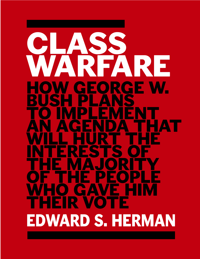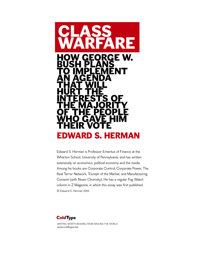

Edward S. Herman is Professor Emeritus of Finance at the Wharton School, University of Pennsylvania, and has written extensively on economics, political economy and the media. Among his books are Corporate Control, Corporate Power, The Real Terror Network, Triumph of the Market, and Manufacturing Consent (with Noam Chomsky). He has a regular Fog Watch column in Z Magazine, in which this essay was first published. © Edward S. Herman 2005

# **ColdType**

WRITING WORTH READING FROM AROUND THE WORLD www.coldtype.net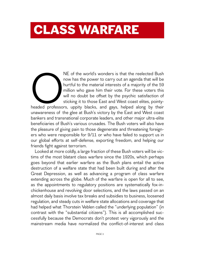# **CLASS WARFARE**

NE of the world's wonders is that the reelected Bush<br>now has the power to carry out an agenda that will be<br>hurtful to the material interests of a majority of the 59<br>million who gave him their vote. For these voters this<br>wi now has the power to carry out an agenda that will be hurtful to the material interests of a majority of the 59 million who gave him their vote. For these voters this will no doubt be offset by the psychic satisfaction of sticking it to those East and West coast elites, pointyheaded professors, uppity blacks, and gays, helped along by their unawareness of the glee at Bush's victory by the East and West coast bankers and transnational corporate leaders, and other major ultra-elite beneficiaries of Bush's various crusades. The Bush voters will also have the pleasure of giving pain to those degenerate and threatening foreigners who were responsible for 9/11 or who have failed to support us in our global efforts at self-defense, exporting freedom, and helping our friends fight against terrorism.

Looked at more coldly, a large fraction of these Bush voters will be victims of the most blatant class warfare since the 1920s, which perhaps goes beyond that earlier warfare as the Bush plans entail the active destruction of a welfare state that had been built during and after the Great Depression, as well as advancing a program of class warfare extending across the globe. Much of the warfare is open for all to see, as the appointments to regulatory positions are systematically fox-inchickenhouse and revolving door selections, and the laws passed on an almost daily basis involve tax breaks and subsidies to business, loosened regulation, and steady cuts in welfare state allocations and coverage that had helped what Thorstein Veblen called the "underlying population" (in contrast with the "substantial citizens"). This is all accomplished successfully because the Democrats don't protest very vigorously and the mainstream media have normalized the conflict-of-interest and class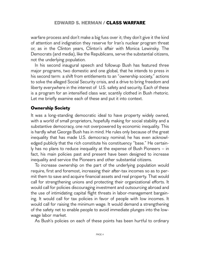warfare process and don't make a big fuss over it; they don't give it the kind of attention and indignation they reserve for Iran's nuclear program threat or, as in the Clinton years, Clinton's affair with Monica Lewinsky. The Democrats (and media), like the Republicans, serve the substantial citizens, not the underlying population.

In his second inaugural speech and followup Bush has featured three major programs, two domestic and one global, that he intends to press in his second term: a shift from entitlements to an "ownership society," actions to solve the alleged Social Security crisis, and a drive to bring freedom and liberty everywhere in the interest of U.S. safety and security. Each of these is a program for an intensified class war, scantily clothed in Bush rhetoric. Let me briefly examine each of these and put it into context.

#### **Ownership Society**

It was a long-standing democratic ideal to have property widely owned, with a world of small proprietors, hopefully making for social stability and a substantive democracy, one not overpowered by economic inequality. This is hardly what George Bush has in mind. He rules only because of the great inequality that has made U.S. democracy nominal; he has even acknowledged publicly that the rich constitute his constituency "base." He certainly has no plans to reduce inequality at the expense of Bush Pioneers – in fact, his main policies past and present have been designed to increase inequality and service the Pioneers and other substantial citizens.

To increase ownership on the part of the underlying population would require, first and foremost, increasing their after-tax incomes so as to permit them to save and acquire financial assets and real property. That would call for strengthening unions and protecting their organizational efforts. It would call for policies discouraging investment and outsourcing abroad and the use of intimidating capital flight threats in labor-management bargaining. It would call for tax policies in favor of people with low incomes. It would call for raising the minimum wage. It would demand a strengthening of the safety net to enable people to avoid immediate plunges into the lowwage labor market.

As Bush's policies on each of these points has been hurtful to ordinary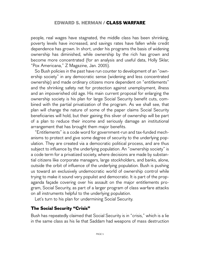people, real wages have stagnated, the middle class has been shrinking, poverty levels have increased, and savings rates have fallen while credit dependence has grown. In short, under his programs the basis of widening ownership has diminished, while ownership by the rich has grown and become more concentrated (for an analysis and useful data, Holly Sklar, "Pox Americana," Z Magazine, Jan. 2005).

So Bush policies in the past have run counter to development of an "ownership society" in any democratic sense (widening and less concentrated ownership) and made ordinary citizens more dependent on "entitlements" and the shrinking safety net for protection against unemployment, illness and an impoverished old age. His main current proposal for enlarging the ownership society is his plan for large Social Security benefit cuts, combined with the partial privatization of the program. As we shall see, that plan will change the nature of some of the paper claims Social Security beneficiaries will hold, but their gaining this sliver of ownership will be part of a plan to reduce their income and seriously damage an institutional arrangement that has brought them major benefits.

"Entitlements" is a code word for government-run and tax-funded mechanisms to protect and give some degree of security to the underlying population. They are created via a democratic political process, and are thus subject to influence by the underlying population. An "ownership society" is a code term for a privatized society, where decisions are made by substantial citizens like corporate managers, large stockholders, and banks, alone, outside the orbit of influence of the underlying population. Bush is pushing us toward an exclusively undemocratic world of ownership control while trying to make it sound very populist and democratic. It is part of the propaganda façade covering over his assault on the major entitlements program, Social Security, as part of a larger program of class warfare attacks on all instruments helpful to the underlying population.

Let's turn to his plan for undermining Social Security.

#### **The Social Security "Crisis"**

Bush has repeatedly claimed that Social Security is in "crisis," which is a lie in the same class as his lie that Saddam had weapons of mass destruction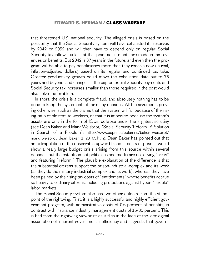that threatened U.S. national security. The alleged crisis is based on the possibility that the Social Security system will have exhausted its reserves by 2042 or 2052 and will then have to depend only on regular Social Security tax inflows, unless at that point adjustments are made in tax revenues or benefits. But 2042 is 37 years in the future, and even then the program will be able to pay beneficiaries more than they receive now (in real, inflation-adjusted dollars) based on its regular and continued tax take. Greater productivity growth could move the exhaustion date out to 75 years and beyond, and changes in the cap on Social Security payments and Social Security tax increases smaller than those required in the past would also solve the problem.

In short, the crisis is a complete fraud, and absolutely nothing has to be done to keep the system intact for many decades. All the arguments proving otherwise, such as the claims that the system will fail because of the rising ratio of oldsters to workers, or that it is imperiled because the system's assets are only in the form of IOUs, collapse under the slightest scrutiny (see Dean Baker and Mark Weisbrot, "Social Security 'Reform': A Solution in Search of a Problem": http://www.cepr.net/columns/baker\_weisbrot/ mark\_weisbrot\_dean\_baker\_1\_23\_05.htm). Dean Baker has pointed out that an extrapolation of the observable upward trend in costs of prisons would show a really large budget crisis arising from this source within several decades, but the establishment politicians and media are not crying "crisis" and featuring "reform." The plausible explanation of the difference is that the substantial citizens support the prison-industrial-complex and its work (as they do the military-industrial complex and its work), whereas they have been pained by the rising tax costs of "entitlements" whose benefits accrue so heavily to ordinary citizens, including protections against hyper-"flexible" labor markets.

The Social Security system also has two other defects from the standpoint of the rightwing: First, it is a highly successful and highly efficient government program, with administrative costs of 0.6 percent of benefits, in contrast with insurance industry management costs of 15-30 percent. This is bad from the rightwing viewpoint as it flies in the face of the ideological assumption of inherent government inefficiency and suggests that govern-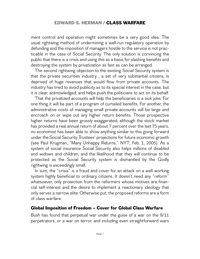ment control and operation might sometimes be a very good idea. The usual rightwing method of undermining a well-run regulatory operation by defunding and the imposition of managers hostile to the service is not practicable in the case of Social Security. The only solution is convincing the public that there is a crisis and using this as a basis for slashing benefits and destroying the system by privatization as fast as can be arranged.

The second rightwing objection to the existing Social Security system is that the private securities industry , a set of very substantial citizens, is deprived of huge revenues that would flow from private accounts. The industry has tried to avoid publicity as to its special interest in the case, but it is clear, acknowledged, and helps push the politicians to act on its behalf.

That the privatized accounts will help the beneficiaries is a sick joke. For one thing it will be part of a program of curtailed benefits. For another, the administrative costs of managing small private accounts will be large and encroach on or wipe out any higher return benefits. Those prospective higher returns have been grossly exaggerated; although the stock market has provided a real annual return of about 7 percent over the last 75 years, no economist has been able to show anything similar to this going forward under the Social Security Trustees' projections for future economic growth (see Paul Krugman, "Many Unhappy Returns," NYT, Feb. 1, 2005). As a system of social insurance Social Security also helps millions of disabled and widows and children, and the likelihood that they will continue to be protected as the Social Security system is dismantled by the Godly rightwing is exceedingly small.

In sum, the "crisis" is a fraud and cover for an attack on a well-working system highly beneficial to ordinary citizens. It doesn't need any "reform" whatsoever, only protection from the reformers whose motives are financial self-interest and the desire to implement a reactionary ideology that only serves a narrow elite. Otherwise put, the proposed reforms are a form of class warfare.

#### **Global Imposition of Freedom – Cover for Global Class Warfare**

Bush has found that perpetual war under the guise of a war on the 9/11 perpetrators, or a war on terror, and including even straightforward wars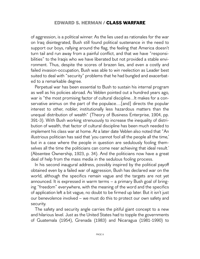of aggression, is a political winner. As the lies used as rationales for the war on Iraq disintegrated, Bush still found political sustenance in the need to support our boys, rallying around the flag, the feeling that America doesn't turn tail and run away from a painful conflict, and that we have "responsibilities" to the Iraqis who we have liberated but not provided a stable environment. Thus, despite the scores of brazen lies, and even a costly and failed invasion-occupation, Bush was able to win reelection as Leader best suited to deal with "security" problems that he had bungled and exacerbated to a remarkable degree.

Perpetual war has been essential to Bush to sustain his internal program as well as his policies abroad. As Veblen pointed out a hundred years ago, war is "the most promising factor of cultural discipline…It makes for a conservative animus on the part of the populace….[and] directs the popular interest to other, nobler, institutionally less hazardous matters than the unequal distribution of wealth" (Theory of Business Enterprise, 1904, pp. 391-3). With Bush working strenuously to increase the inequality of distribution of wealth, that factor of cultural discipline has been much needed to implement his class war at home. At a later date Veblen also noted that "An illustrious politician has said that 'you cannot fool all the people all the time,' but in a case where the people in question are sedulously fooling themselves all the time the politicians can come near achieving that ideal result.' (Absentee Ownership, 1923, p. 34). And the politicians now have a great deal of help from the mass media in the sedulous fooling process.

In his second inaugural address, possibly inspired by the political payoff obtained even by a failed war of aggression, Bush has declared war on the world, although the specifics remain vague and the targets are not yet announced. It is expressed in warm terms – a primary Bush goal of bringing "freedom" everywhere, with the meaning of the word and the specifics of application left a bit vague, no doubt to be firmed up later. But it isn't just our benevolence involved – we must do this to protect our own safety and security.

The safety and security angle carries the pitiful giant concept to a new and hilarious level. Just as the United States had to topple the governments of Guatemala (1954), Grenada (1983) and Nicaragua (1981-1990) to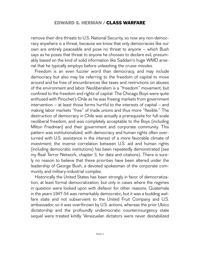remove their dire threats to U.S. National Security, so now any non-democracy anywhere is a threat, because we know that only democracies like our own are entirely peaceable and pose no threat to anyone – which Bush says as he poses that threat to anyone he chooses to declare evil, presumably based on the kind of solid information like Saddam's huge WMD arsenal that he typically employs before unleashing the cruise missiles.

Freedom is an even fuzzier word than democracy, and may include democracy but also may be referring to the freedom of capital to move around and be free of encumbrances like taxes and restrictions on abuses of the environment and labor. Neoliberalism is a "freedom" movement, but confined to the freedom and rights of capital. The Chicago Boys were quite enthused with Pinochet's Chile as he was freeing markets from government intervention – at least those forms hurtful to the interests of capital – and making labor markets "free" of trade unions and thus more "flexible." The destruction of democracy in Chile was actually a prerequisite for full-scale neoliberal freedom, and was completely acceptable to the Boys (including Milton Friedman) and their government and corporate community. This pattern was institutionalized, with democracy and human rights often overturned with U.S. assistance in the interest of a more favorable climate of investment; the inverse correlation between U.S. aid and human rights (including democratic institutions) has been repeatedly demonstrated (see my Real Terror Network, chapter 3, for data and citations). There is surely no reason to believe that these priorities have been altered under the leadership of George Bush, a devoted spokesman of the corporate community and military-industrial complex.

Historically the United States has been strongly in favor of democratization, at least formal democratization, but only in cases where the regimes in question were looked upon with disfavor for other reasons. Guatemala in the years 1947-54 was remarkably democratic, but it was a budding welfare state and not subservient to the United Fruit Company and U.S. ambassador, so it was overthrown by U.S. actions, whereas the prior Ubico dictatorship and the profoundly undemocratic counterinsurgency state sequel were treated kindly. Venezuelan dictators were never destabilized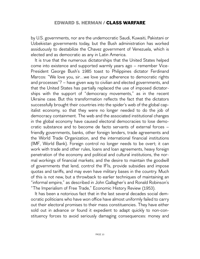by U.S. governments, nor are the undemocratic Saudi, Kuwaiti, Pakistani or Uzbekistan governments today, but the Bush administration has worked assiduously to destabilize the Chavez government of Venezuela, which is elected and as democratic as any in Latin America.

It is true that the numerous dictatorships that the United States helped come into existence and supported warmly years ago – remember Vice-President George Bush's 1985 toast to Philippines dictator Ferdinand Marcos: "We love you, sir…we love your adherence to democratic rights and processes"? – have given way to civilian and elected governments, and that the United States has partially replaced the use of imposed dictatorships with the support of "democracy movements," as in the recent Ukraine case. But this transformation reflects the fact that the dictators successfully brought their countries into the spider's web of the global capitalist economy, so that they were no longer needed to do the job of democracy containment. The web and the associated institutional changes in the global economy have caused electoral democracies to lose democratic substance and to become de facto servants of external forces – friendly governments, banks, other foreign lenders, trade agreements and the World Trade Organization, and the international financial institutions (IMF, World Bank). Foreign control no longer needs to be overt; it can work with trade and other rules, loans and loan agreements, heavy foreign penetration of the economy and political and cultural institutions, the normal workings of financial markets; and the desire to maintain the goodwill of governments that lend, control the IFIs, provide subsidies and impose quotas and tariffs, and may even have military bases in the country. Much of this is not new, but a throwback to earlier techniques of maintaining an "informal empire," as described in John Gallagher's and Ronald Robinson's "The Imperialism of Free Trade," Economic History Review (1953).

It has been a notorious fact that in the last several decades social democratic politicians who have won office have almost uniformly failed to carry out their electoral promises to their mass constituencies. They have either sold out in advance or found it expedient to adapt quickly to non-constituency forces to avoid seriously damaging consequences: money and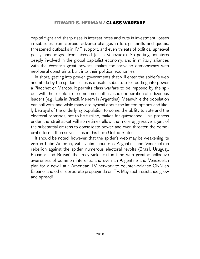capital flight and sharp rises in interest rates and cuts in investment, losses in subsidies from abroad, adverse changes in foreign tariffs and quotas, threatened cutbacks in IMF support, and even threats of political upheaval partly encouraged from abroad (as in Venezuela). So getting countries deeply involved in the global capitalist economy, and in military alliances with the Western great powers, makes for shriveled democracies with neoliberal constraints built into their political economies.

In short, getting into power governments that will enter the spider's web and abide by the spider's rules is a useful substitute for putting into power a Pinochet or Marcos. It permits class warfare to be imposed by the spider, with the reluctant or sometimes enthusiastic cooperation of indigenous leaders (e.g., Lula in Brazil, Menem in Argentina). Meanwhile the population can still vote, and while many are cynical about the limited options and likely betrayal of the underlying population to come, the ability to vote and the electoral promises, not to be fulfilled, makes for quiescence. This process under the straitjacket will sometimes allow the more aggressive agent of the substantial citizens to consolidate power and even threaten the democratic forms themselves – as in this here United States!

It should be noted, however, that the spider's web may be weakening its grip in Latin America, with victim countries Argentina and Venezuela in rebellion against the spider, numerous electoral revolts (Brazil, Uruguay, Ecuador and Bolivia) that may yield fruit in time with greater collective awareness of common interests, and even an Argentine and Venezuelan plan for a new Latin American TV network to counter-balance CNN en Espanol and other corporate propaganda on TV. May such resistance grow and spread!